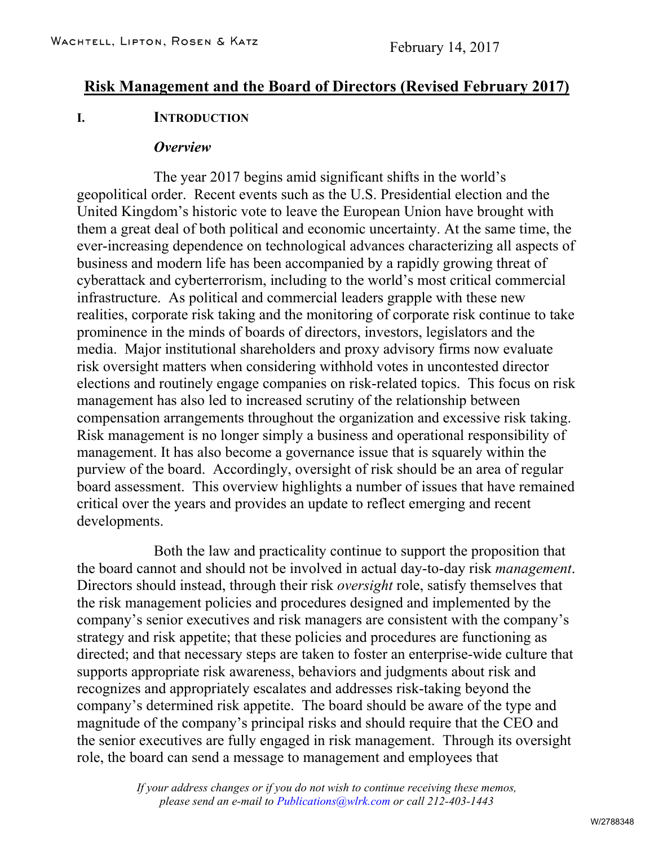# **Risk Management and the Board of Directors (Revised February 2017)**

#### **I. INTRODUCTION**

#### *Overview*

The year 2017 begins amid significant shifts in the world's geopolitical order. Recent events such as the U.S. Presidential election and the United Kingdom's historic vote to leave the European Union have brought with them a great deal of both political and economic uncertainty. At the same time, the ever-increasing dependence on technological advances characterizing all aspects of business and modern life has been accompanied by a rapidly growing threat of cyberattack and cyberterrorism, including to the world's most critical commercial infrastructure. As political and commercial leaders grapple with these new realities, corporate risk taking and the monitoring of corporate risk continue to take prominence in the minds of boards of directors, investors, legislators and the media. Major institutional shareholders and proxy advisory firms now evaluate risk oversight matters when considering withhold votes in uncontested director elections and routinely engage companies on risk-related topics. This focus on risk management has also led to increased scrutiny of the relationship between compensation arrangements throughout the organization and excessive risk taking. Risk management is no longer simply a business and operational responsibility of management. It has also become a governance issue that is squarely within the purview of the board. Accordingly, oversight of risk should be an area of regular board assessment. This overview highlights a number of issues that have remained critical over the years and provides an update to reflect emerging and recent developments.

Both the law and practicality continue to support the proposition that the board cannot and should not be involved in actual day-to-day risk *management*. Directors should instead, through their risk *oversight* role, satisfy themselves that the risk management policies and procedures designed and implemented by the company's senior executives and risk managers are consistent with the company's strategy and risk appetite; that these policies and procedures are functioning as directed; and that necessary steps are taken to foster an enterprise-wide culture that supports appropriate risk awareness, behaviors and judgments about risk and recognizes and appropriately escalates and addresses risk-taking beyond the company's determined risk appetite. The board should be aware of the type and magnitude of the company's principal risks and should require that the CEO and the senior executives are fully engaged in risk management. Through its oversight role, the board can send a message to management and employees that

> *If your address changes or if you do not wish to continue receiving these memos, please send an e-mail to Publications@wlrk.com or call 212-403-1443*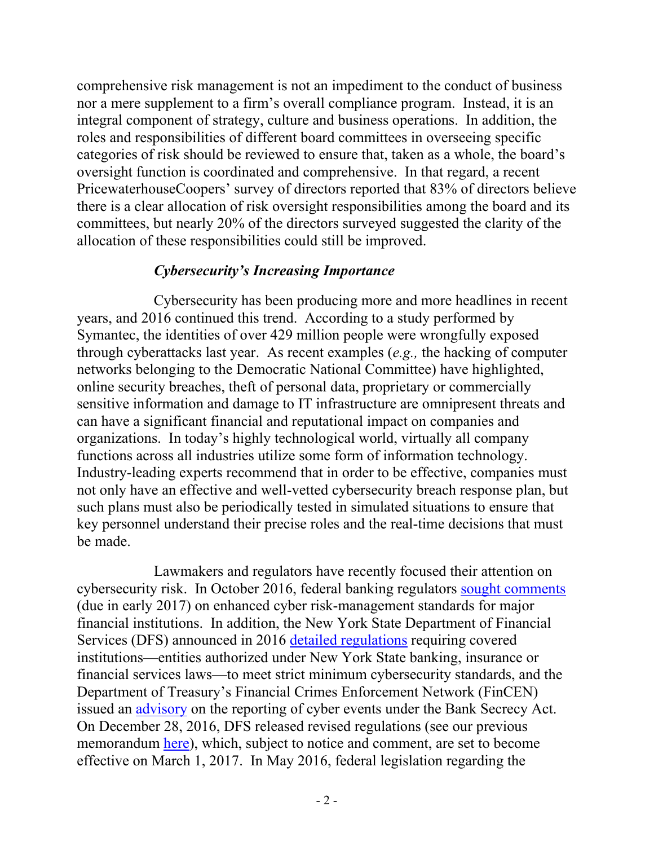comprehensive risk management is not an impediment to the conduct of business nor a mere supplement to a firm's overall compliance program. Instead, it is an integral component of strategy, culture and business operations. In addition, the roles and responsibilities of different board committees in overseeing specific categories of risk should be reviewed to ensure that, taken as a whole, the board's oversight function is coordinated and comprehensive. In that regard, a recent PricewaterhouseCoopers' survey of directors reported that 83% of directors believe there is a clear allocation of risk oversight responsibilities among the board and its committees, but nearly 20% of the directors surveyed suggested the clarity of the allocation of these responsibilities could still be improved.

### *Cybersecurity's Increasing Importance*

Cybersecurity has been producing more and more headlines in recent years, and 2016 continued this trend. According to a study performed by Symantec, the identities of over 429 million people were wrongfully exposed through cyberattacks last year. As recent examples (*e.g.,* the hacking of computer networks belonging to the Democratic National Committee) have highlighted, online security breaches, theft of personal data, proprietary or commercially sensitive information and damage to IT infrastructure are omnipresent threats and can have a significant financial and reputational impact on companies and organizations. In today's highly technological world, virtually all company functions across all industries utilize some form of information technology. Industry-leading experts recommend that in order to be effective, companies must not only have an effective and well-vetted cybersecurity breach response plan, but such plans must also be periodically tested in simulated situations to ensure that key personnel understand their precise roles and the real-time decisions that must be made.

Lawmakers and regulators have recently focused their attention on cybersecurity risk. In October 2016, federal banking regulators [sought comments](https://www.occ.gov/news-issuances/news-releases/2016/nr-ia-2016-131a.pdf) (due in early 2017) on enhanced cyber risk-management standards for major financial institutions. In addition, the New York State Department of Financial Services (DFS) announced in 2016 [detailed regulations](http://www.dfs.ny.gov/legal/regulations/proposed/rp500t.pdf) requiring covered institutions—entities authorized under New York State banking, insurance or financial services laws—to meet strict minimum cybersecurity standards, and the Department of Treasury's Financial Crimes Enforcement Network (FinCEN) issued an [advisory](https://www.fincen.gov/sites/default/files/advisory/2016-10-25/Cyber%20Threats%20Advisory%20-%20FINAL%20508_2.pdf) on the reporting of cyber events under the Bank Secrecy Act. On December 28, 2016, DFS released revised regulations (see our previous memorandum [here\)](http://www.wlrk.com/webdocs/wlrknew/WLRKMemos/WLRK/WLRK.25476.17.pdf), which, subject to notice and comment, are set to become effective on March 1, 2017. In May 2016, federal legislation regarding the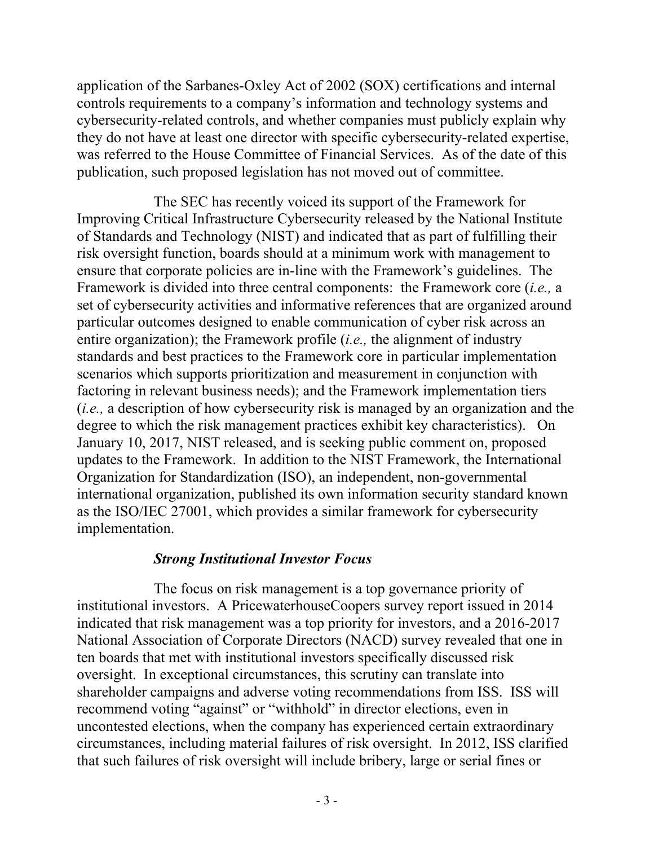application of the Sarbanes-Oxley Act of 2002 (SOX) certifications and internal controls requirements to a company's information and technology systems and cybersecurity-related controls, and whether companies must publicly explain why they do not have at least one director with specific cybersecurity-related expertise, was referred to the House Committee of Financial Services. As of the date of this publication, such proposed legislation has not moved out of committee.

The SEC has recently voiced its support of the Framework for Improving Critical Infrastructure Cybersecurity released by the National Institute of Standards and Technology (NIST) and indicated that as part of fulfilling their risk oversight function, boards should at a minimum work with management to ensure that corporate policies are in-line with the Framework's guidelines. The Framework is divided into three central components: the Framework core (*i.e.,* a set of cybersecurity activities and informative references that are organized around particular outcomes designed to enable communication of cyber risk across an entire organization); the Framework profile (*i.e.,* the alignment of industry standards and best practices to the Framework core in particular implementation scenarios which supports prioritization and measurement in conjunction with factoring in relevant business needs); and the Framework implementation tiers (*i.e.,* a description of how cybersecurity risk is managed by an organization and the degree to which the risk management practices exhibit key characteristics). On January 10, 2017, NIST released, and is seeking public comment on, proposed updates to the Framework. In addition to the NIST Framework, the International Organization for Standardization (ISO), an independent, non-governmental international organization, published its own information security standard known as the ISO/IEC 27001, which provides a similar framework for cybersecurity implementation.

### *Strong Institutional Investor Focus*

The focus on risk management is a top governance priority of institutional investors. A PricewaterhouseCoopers survey report issued in 2014 indicated that risk management was a top priority for investors, and a 2016-2017 National Association of Corporate Directors (NACD) survey revealed that one in ten boards that met with institutional investors specifically discussed risk oversight. In exceptional circumstances, this scrutiny can translate into shareholder campaigns and adverse voting recommendations from ISS. ISS will recommend voting "against" or "withhold" in director elections, even in uncontested elections, when the company has experienced certain extraordinary circumstances, including material failures of risk oversight. In 2012, ISS clarified that such failures of risk oversight will include bribery, large or serial fines or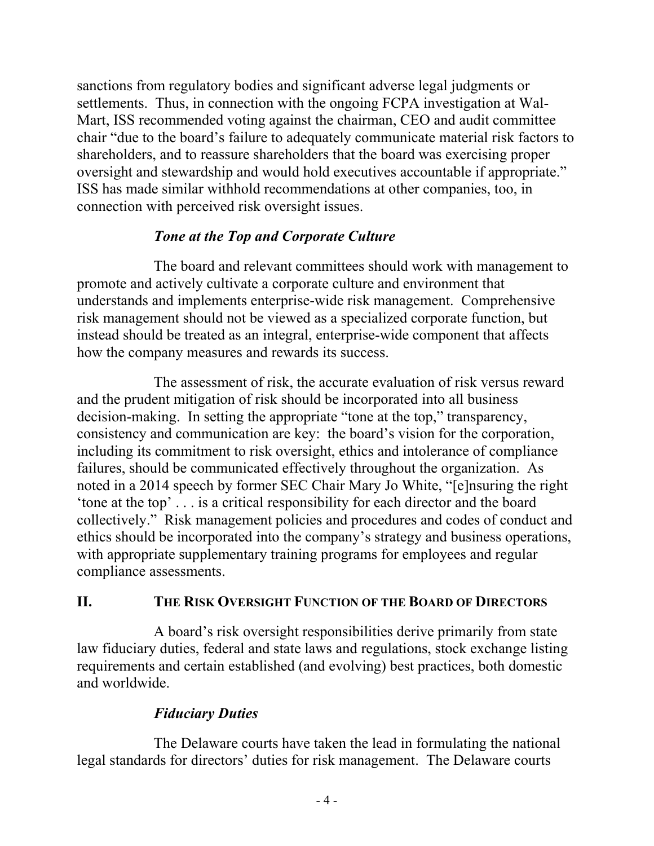sanctions from regulatory bodies and significant adverse legal judgments or settlements. Thus, in connection with the ongoing FCPA investigation at Wal-Mart, ISS recommended voting against the chairman, CEO and audit committee chair "due to the board's failure to adequately communicate material risk factors to shareholders, and to reassure shareholders that the board was exercising proper oversight and stewardship and would hold executives accountable if appropriate." ISS has made similar withhold recommendations at other companies, too, in connection with perceived risk oversight issues.

## *Tone at the Top and Corporate Culture*

The board and relevant committees should work with management to promote and actively cultivate a corporate culture and environment that understands and implements enterprise-wide risk management. Comprehensive risk management should not be viewed as a specialized corporate function, but instead should be treated as an integral, enterprise-wide component that affects how the company measures and rewards its success.

The assessment of risk, the accurate evaluation of risk versus reward and the prudent mitigation of risk should be incorporated into all business decision-making. In setting the appropriate "tone at the top," transparency, consistency and communication are key: the board's vision for the corporation, including its commitment to risk oversight, ethics and intolerance of compliance failures, should be communicated effectively throughout the organization. As noted in a 2014 speech by former SEC Chair Mary Jo White, "[e]nsuring the right 'tone at the top' . . . is a critical responsibility for each director and the board collectively." Risk management policies and procedures and codes of conduct and ethics should be incorporated into the company's strategy and business operations, with appropriate supplementary training programs for employees and regular compliance assessments.

### **II. THE RISK OVERSIGHT FUNCTION OF THE BOARD OF DIRECTORS**

A board's risk oversight responsibilities derive primarily from state law fiduciary duties, federal and state laws and regulations, stock exchange listing requirements and certain established (and evolving) best practices, both domestic and worldwide.

# *Fiduciary Duties*

The Delaware courts have taken the lead in formulating the national legal standards for directors' duties for risk management. The Delaware courts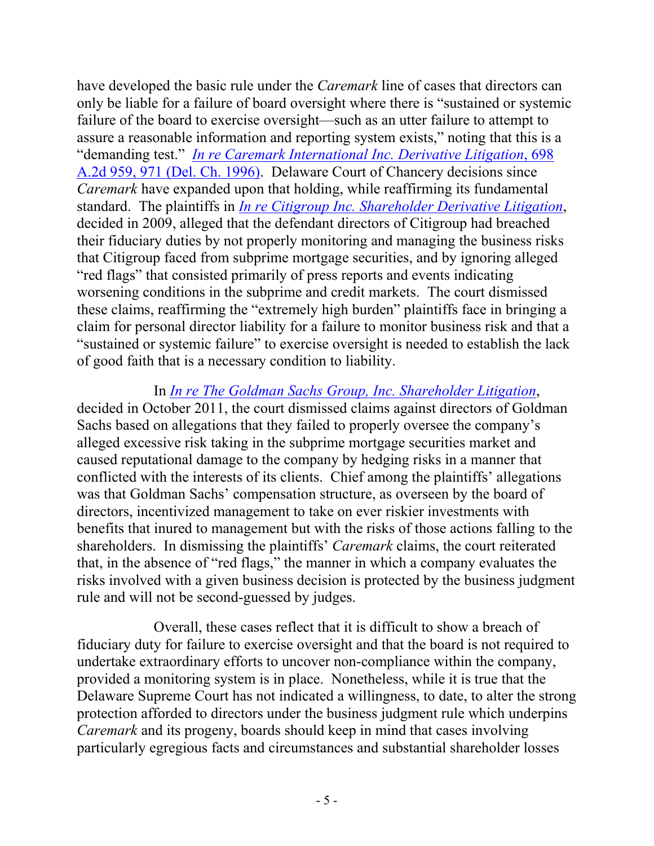have developed the basic rule under the *Caremark* line of cases that directors can only be liable for a failure of board oversight where there is "sustained or systemic failure of the board to exercise oversight—such as an utter failure to attempt to assure a reasonable information and reporting system exists," noting that this is a "demanding test." *[In re Caremark International Inc. Derivative Litigation](http://www.wlrk.com/docs/INRECAREMARKINTERNATIONALINCDERIVATIVELITIGATION.pdf)*, 698 [A.2d 959, 971 \(Del. Ch. 1996\).](http://www.wlrk.com/docs/INRECAREMARKINTERNATIONALINCDERIVATIVELITIGATION.pdf) Delaware Court of Chancery decisions since *Caremark* have expanded upon that holding, while reaffirming its fundamental standard. The plaintiffs in *[In re Citigroup Inc. Shareholder Derivative Litigation](http://www.wlrk.net/docs/3338-CC.pdf)*, decided in 2009, alleged that the defendant directors of Citigroup had breached their fiduciary duties by not properly monitoring and managing the business risks that Citigroup faced from subprime mortgage securities, and by ignoring alleged "red flags" that consisted primarily of press reports and events indicating worsening conditions in the subprime and credit markets. The court dismissed these claims, reaffirming the "extremely high burden" plaintiffs face in bringing a claim for personal director liability for a failure to monitor business risk and that a "sustained or systemic failure" to exercise oversight is needed to establish the lack of good faith that is a necessary condition to liability.

In *[In re The Goldman Sachs Group, Inc. Shareholder Litigation](http://www.wlrk.net/docs/5215-VCG.pdf)*, decided in October 2011, the court dismissed claims against directors of Goldman Sachs based on allegations that they failed to properly oversee the company's alleged excessive risk taking in the subprime mortgage securities market and caused reputational damage to the company by hedging risks in a manner that conflicted with the interests of its clients. Chief among the plaintiffs' allegations was that Goldman Sachs' compensation structure, as overseen by the board of directors, incentivized management to take on ever riskier investments with benefits that inured to management but with the risks of those actions falling to the shareholders. In dismissing the plaintiffs' *Caremark* claims, the court reiterated that, in the absence of "red flags," the manner in which a company evaluates the risks involved with a given business decision is protected by the business judgment rule and will not be second-guessed by judges.

Overall, these cases reflect that it is difficult to show a breach of fiduciary duty for failure to exercise oversight and that the board is not required to undertake extraordinary efforts to uncover non-compliance within the company, provided a monitoring system is in place. Nonetheless, while it is true that the Delaware Supreme Court has not indicated a willingness, to date, to alter the strong protection afforded to directors under the business judgment rule which underpins *Caremark* and its progeny, boards should keep in mind that cases involving particularly egregious facts and circumstances and substantial shareholder losses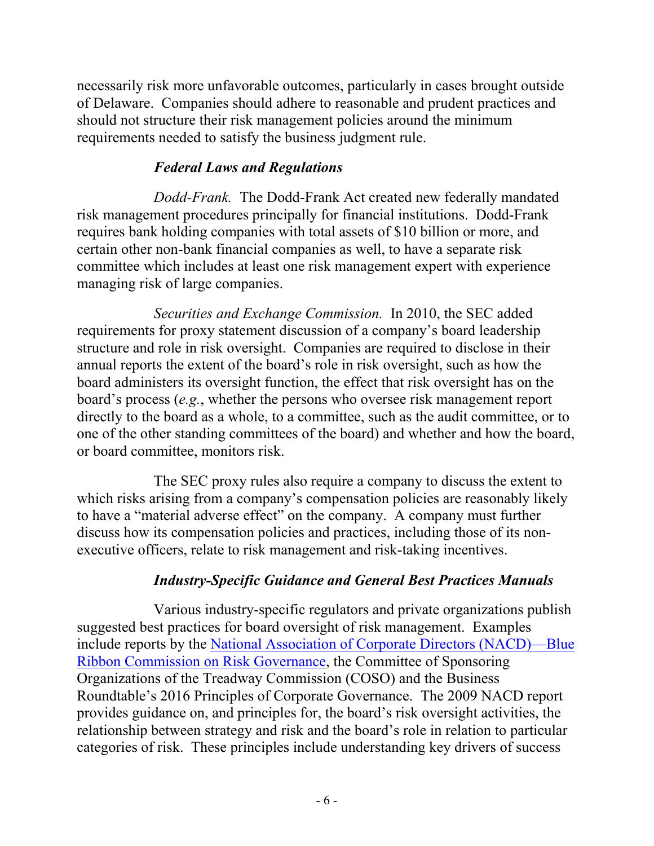necessarily risk more unfavorable outcomes, particularly in cases brought outside of Delaware. Companies should adhere to reasonable and prudent practices and should not structure their risk management policies around the minimum requirements needed to satisfy the business judgment rule.

## *Federal Laws and Regulations*

*Dodd-Frank.* The Dodd-Frank Act created new federally mandated risk management procedures principally for financial institutions. Dodd-Frank requires bank holding companies with total assets of \$10 billion or more, and certain other non-bank financial companies as well, to have a separate risk committee which includes at least one risk management expert with experience managing risk of large companies.

*Securities and Exchange Commission.* In 2010, the SEC added requirements for proxy statement discussion of a company's board leadership structure and role in risk oversight. Companies are required to disclose in their annual reports the extent of the board's role in risk oversight, such as how the board administers its oversight function, the effect that risk oversight has on the board's process (*e.g.*, whether the persons who oversee risk management report directly to the board as a whole, to a committee, such as the audit committee, or to one of the other standing committees of the board) and whether and how the board, or board committee, monitors risk.

The SEC proxy rules also require a company to discuss the extent to which risks arising from a company's compensation policies are reasonably likely to have a "material adverse effect" on the company. A company must further discuss how its compensation policies and practices, including those of its nonexecutive officers, relate to risk management and risk-taking incentives.

# *Industry-Specific Guidance and General Best Practices Manuals*

Various industry-specific regulators and private organizations publish suggested best practices for board oversight of risk management. Examples include reports by the [National Association of Corporate Directors \(NACD\)—Blue](http://www.wlrk.com/docs/1605831_1.pdf)  [Ribbon Commission on Risk Governance,](http://www.wlrk.com/docs/1605831_1.pdf) the Committee of Sponsoring Organizations of the Treadway Commission (COSO) and the Business Roundtable's 2016 Principles of Corporate Governance. The 2009 NACD report provides guidance on, and principles for, the board's risk oversight activities, the relationship between strategy and risk and the board's role in relation to particular categories of risk. These principles include understanding key drivers of success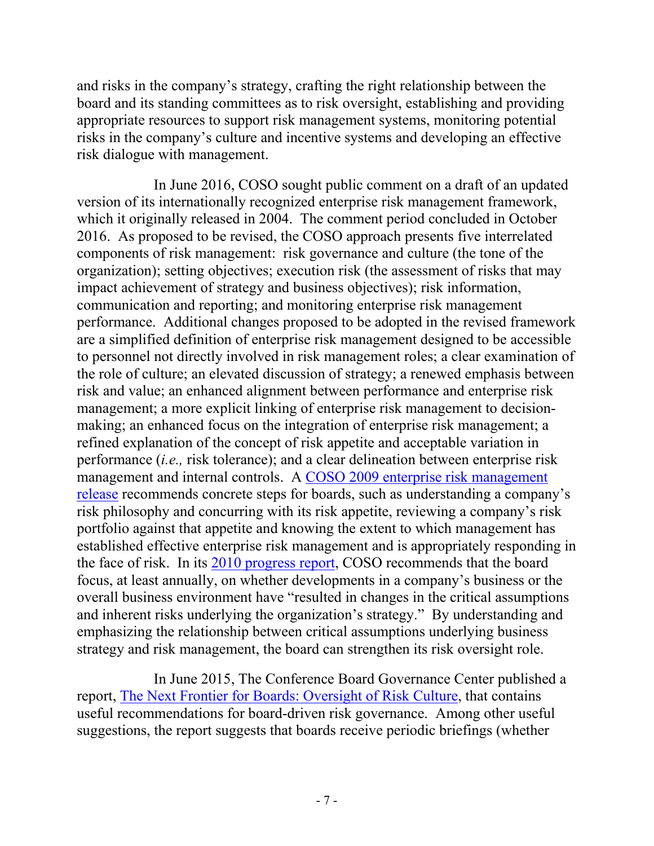and risks in the company's strategy, crafting the right relationship between the board and its standing committees as to risk oversight, establishing and providing appropriate resources to support risk management systems, monitoring potential risks in the company's culture and incentive systems and developing an effective risk dialogue with management.

In June 2016, COSO sought public comment on a draft of an updated version of its internationally recognized enterprise risk management framework, which it originally released in 2004. The comment period concluded in October 2016. As proposed to be revised, the COSO approach presents five interrelated components of risk management: risk governance and culture (the tone of the organization); setting objectives; execution risk (the assessment of risks that may impact achievement of strategy and business objectives); risk information, communication and reporting; and monitoring enterprise risk management performance. Additional changes proposed to be adopted in the revised framework are a simplified definition of enterprise risk management designed to be accessible to personnel not directly involved in risk management roles; a clear examination of the role of culture; an elevated discussion of strategy; a renewed emphasis between risk and value; an enhanced alignment between performance and enterprise risk management; a more explicit linking of enterprise risk management to decisionmaking; an enhanced focus on the integration of enterprise risk management; a refined explanation of the concept of risk appetite and acceptable variation in performance (*i.e.,* risk tolerance); and a clear delineation between enterprise risk management and internal controls. A [COSO 2009 enterprise risk management](http://www.wlrk.net/docs/COSOBoardsERM4pager-FINALRELEASEVERSION82409001.pdf)  [release](http://www.wlrk.net/docs/COSOBoardsERM4pager-FINALRELEASEVERSION82409001.pdf) recommends concrete steps for boards, such as understanding a company's risk philosophy and concurring with its risk appetite, reviewing a company's risk portfolio against that appetite and knowing the extent to which management has established effective enterprise risk management and is appropriately responding in the face of risk. In its [2010 progress report,](http://www.wlrk.net/docs/Board-Risk-Oversight-Survey-COSO-Protiviti000.pdf) COSO recommends that the board focus, at least annually, on whether developments in a company's business or the overall business environment have "resulted in changes in the critical assumptions and inherent risks underlying the organization's strategy." By understanding and emphasizing the relationship between critical assumptions underlying business strategy and risk management, the board can strengthen its risk oversight role.

In June 2015, The Conference Board Governance Center published a report, [The Next Frontier for Boards: Oversight of Risk Culture,](http://www.wlrk.com/docs/pdfdownload.pdf) that contains useful recommendations for board-driven risk governance. Among other useful suggestions, the report suggests that boards receive periodic briefings (whether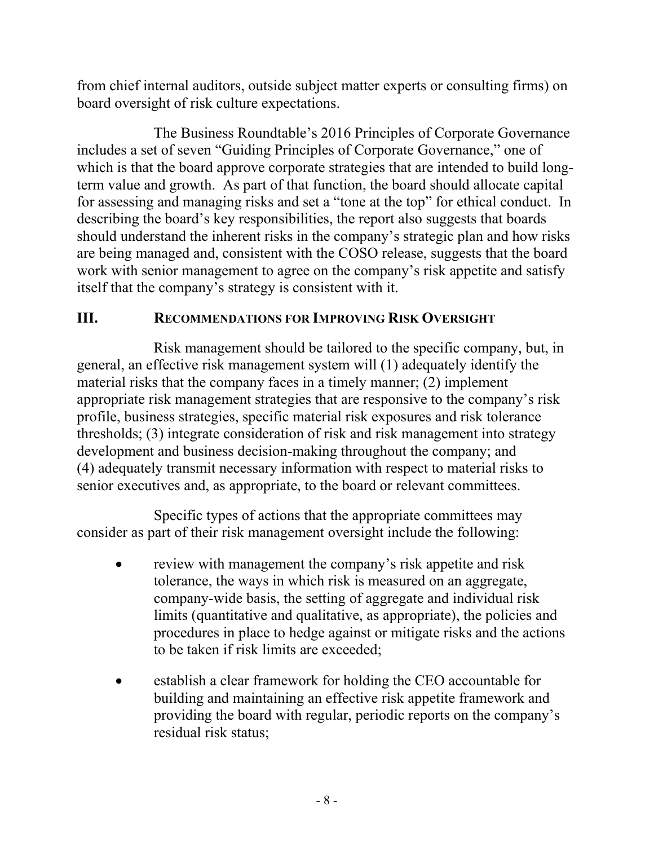from chief internal auditors, outside subject matter experts or consulting firms) on board oversight of risk culture expectations.

The Business Roundtable's 2016 Principles of Corporate Governance includes a set of seven "Guiding Principles of Corporate Governance," one of which is that the board approve corporate strategies that are intended to build longterm value and growth. As part of that function, the board should allocate capital for assessing and managing risks and set a "tone at the top" for ethical conduct. In describing the board's key responsibilities, the report also suggests that boards should understand the inherent risks in the company's strategic plan and how risks are being managed and, consistent with the COSO release, suggests that the board work with senior management to agree on the company's risk appetite and satisfy itself that the company's strategy is consistent with it.

### **III. RECOMMENDATIONS FOR IMPROVING RISK OVERSIGHT**

Risk management should be tailored to the specific company, but, in general, an effective risk management system will (1) adequately identify the material risks that the company faces in a timely manner; (2) implement appropriate risk management strategies that are responsive to the company's risk profile, business strategies, specific material risk exposures and risk tolerance thresholds; (3) integrate consideration of risk and risk management into strategy development and business decision-making throughout the company; and (4) adequately transmit necessary information with respect to material risks to senior executives and, as appropriate, to the board or relevant committees.

Specific types of actions that the appropriate committees may consider as part of their risk management oversight include the following:

- review with management the company's risk appetite and risk tolerance, the ways in which risk is measured on an aggregate, company-wide basis, the setting of aggregate and individual risk limits (quantitative and qualitative, as appropriate), the policies and procedures in place to hedge against or mitigate risks and the actions to be taken if risk limits are exceeded;
- establish a clear framework for holding the CEO accountable for building and maintaining an effective risk appetite framework and providing the board with regular, periodic reports on the company's residual risk status;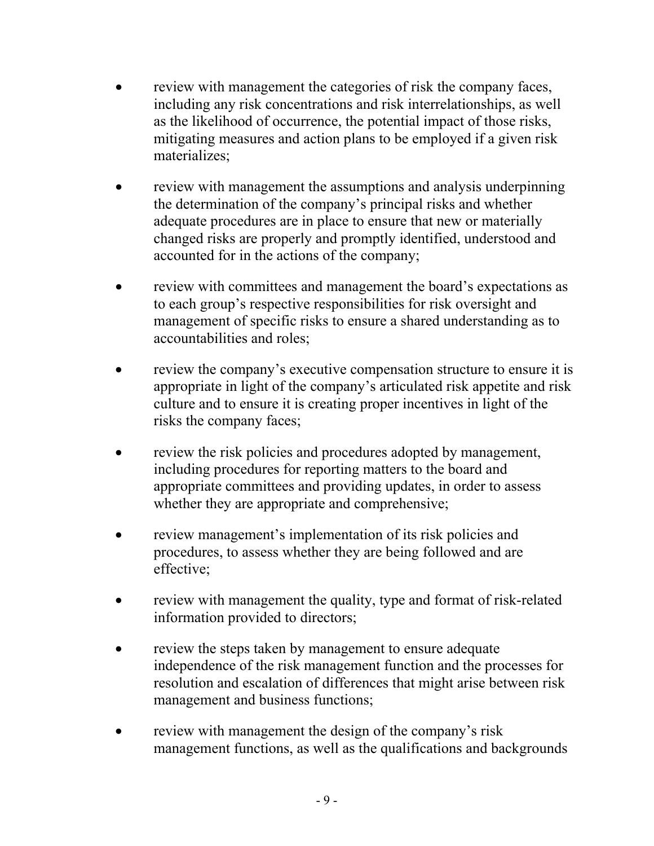- review with management the categories of risk the company faces, including any risk concentrations and risk interrelationships, as well as the likelihood of occurrence, the potential impact of those risks, mitigating measures and action plans to be employed if a given risk materializes;
- review with management the assumptions and analysis underpinning the determination of the company's principal risks and whether adequate procedures are in place to ensure that new or materially changed risks are properly and promptly identified, understood and accounted for in the actions of the company;
- review with committees and management the board's expectations as to each group's respective responsibilities for risk oversight and management of specific risks to ensure a shared understanding as to accountabilities and roles;
- review the company's executive compensation structure to ensure it is appropriate in light of the company's articulated risk appetite and risk culture and to ensure it is creating proper incentives in light of the risks the company faces;
- review the risk policies and procedures adopted by management, including procedures for reporting matters to the board and appropriate committees and providing updates, in order to assess whether they are appropriate and comprehensive;
- review management's implementation of its risk policies and procedures, to assess whether they are being followed and are effective;
- review with management the quality, type and format of risk-related information provided to directors;
- review the steps taken by management to ensure adequate independence of the risk management function and the processes for resolution and escalation of differences that might arise between risk management and business functions;
- review with management the design of the company's risk management functions, as well as the qualifications and backgrounds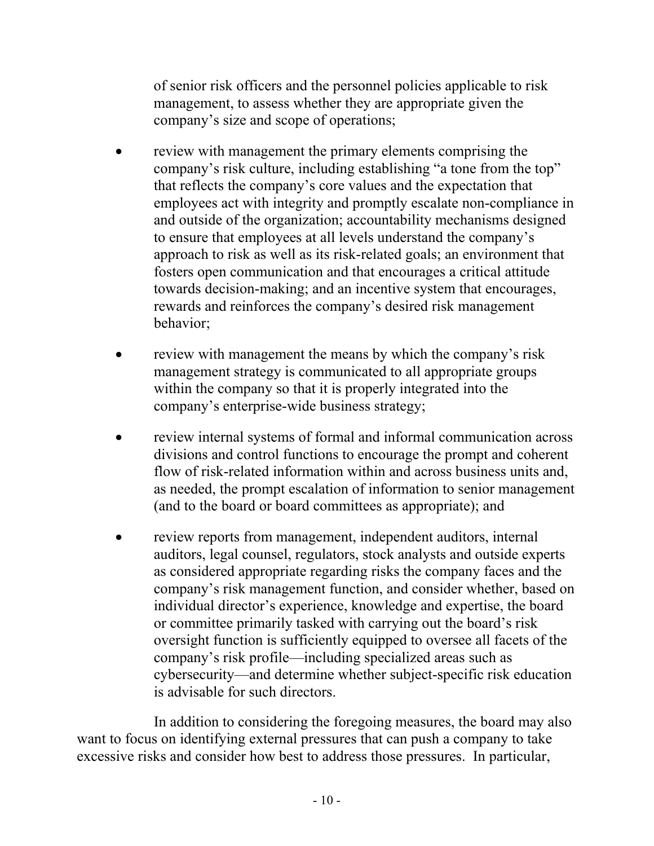of senior risk officers and the personnel policies applicable to risk management, to assess whether they are appropriate given the company's size and scope of operations;

- review with management the primary elements comprising the company's risk culture, including establishing "a tone from the top" that reflects the company's core values and the expectation that employees act with integrity and promptly escalate non-compliance in and outside of the organization; accountability mechanisms designed to ensure that employees at all levels understand the company's approach to risk as well as its risk-related goals; an environment that fosters open communication and that encourages a critical attitude towards decision-making; and an incentive system that encourages, rewards and reinforces the company's desired risk management behavior;
- review with management the means by which the company's risk management strategy is communicated to all appropriate groups within the company so that it is properly integrated into the company's enterprise-wide business strategy;
- review internal systems of formal and informal communication across divisions and control functions to encourage the prompt and coherent flow of risk-related information within and across business units and, as needed, the prompt escalation of information to senior management (and to the board or board committees as appropriate); and
- review reports from management, independent auditors, internal auditors, legal counsel, regulators, stock analysts and outside experts as considered appropriate regarding risks the company faces and the company's risk management function, and consider whether, based on individual director's experience, knowledge and expertise, the board or committee primarily tasked with carrying out the board's risk oversight function is sufficiently equipped to oversee all facets of the company's risk profile—including specialized areas such as cybersecurity—and determine whether subject-specific risk education is advisable for such directors.

In addition to considering the foregoing measures, the board may also want to focus on identifying external pressures that can push a company to take excessive risks and consider how best to address those pressures. In particular,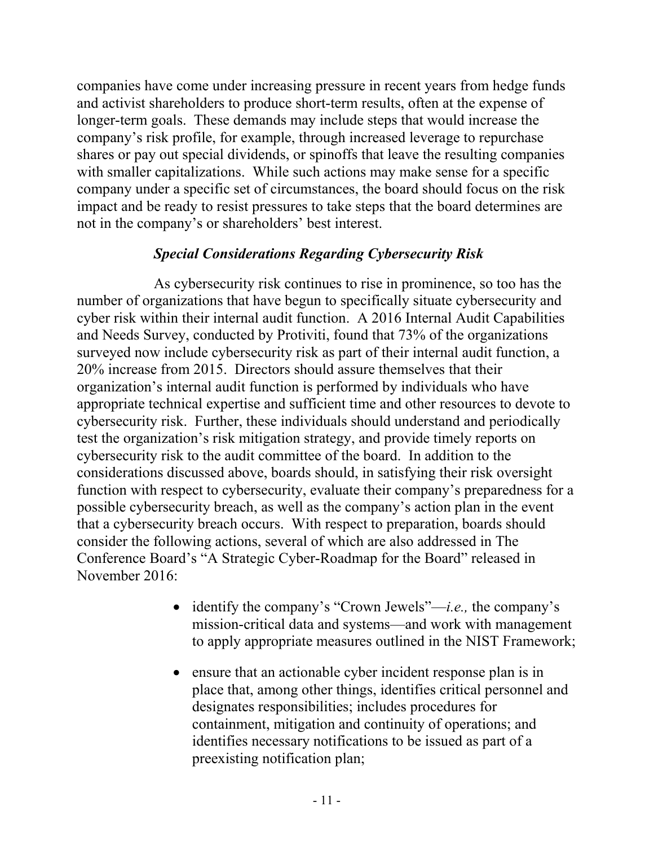companies have come under increasing pressure in recent years from hedge funds and activist shareholders to produce short-term results, often at the expense of longer-term goals. These demands may include steps that would increase the company's risk profile, for example, through increased leverage to repurchase shares or pay out special dividends, or spinoffs that leave the resulting companies with smaller capitalizations. While such actions may make sense for a specific company under a specific set of circumstances, the board should focus on the risk impact and be ready to resist pressures to take steps that the board determines are not in the company's or shareholders' best interest.

### *Special Considerations Regarding Cybersecurity Risk*

As cybersecurity risk continues to rise in prominence, so too has the number of organizations that have begun to specifically situate cybersecurity and cyber risk within their internal audit function. A 2016 Internal Audit Capabilities and Needs Survey, conducted by Protiviti, found that 73% of the organizations surveyed now include cybersecurity risk as part of their internal audit function, a 20% increase from 2015. Directors should assure themselves that their organization's internal audit function is performed by individuals who have appropriate technical expertise and sufficient time and other resources to devote to cybersecurity risk. Further, these individuals should understand and periodically test the organization's risk mitigation strategy, and provide timely reports on cybersecurity risk to the audit committee of the board. In addition to the considerations discussed above, boards should, in satisfying their risk oversight function with respect to cybersecurity, evaluate their company's preparedness for a possible cybersecurity breach, as well as the company's action plan in the event that a cybersecurity breach occurs. With respect to preparation, boards should consider the following actions, several of which are also addressed in The Conference Board's "A Strategic Cyber-Roadmap for the Board" released in November 2016:

- identify the company's "Crown Jewels"—*i.e.,* the company's mission-critical data and systems—and work with management to apply appropriate measures outlined in the NIST Framework;
- ensure that an actionable cyber incident response plan is in place that, among other things, identifies critical personnel and designates responsibilities; includes procedures for containment, mitigation and continuity of operations; and identifies necessary notifications to be issued as part of a preexisting notification plan;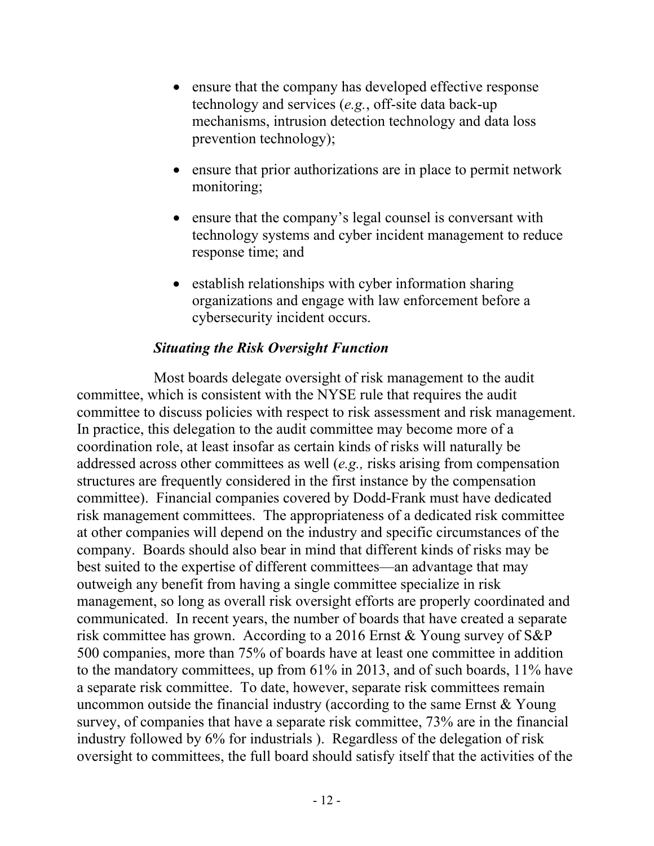- ensure that the company has developed effective response technology and services (*e.g.*, off-site data back-up mechanisms, intrusion detection technology and data loss prevention technology);
- ensure that prior authorizations are in place to permit network monitoring;
- ensure that the company's legal counsel is conversant with technology systems and cyber incident management to reduce response time; and
- establish relationships with cyber information sharing organizations and engage with law enforcement before a cybersecurity incident occurs.

### *Situating the Risk Oversight Function*

Most boards delegate oversight of risk management to the audit committee, which is consistent with the NYSE rule that requires the audit committee to discuss policies with respect to risk assessment and risk management. In practice, this delegation to the audit committee may become more of a coordination role, at least insofar as certain kinds of risks will naturally be addressed across other committees as well (*e.g.,* risks arising from compensation structures are frequently considered in the first instance by the compensation committee). Financial companies covered by Dodd-Frank must have dedicated risk management committees. The appropriateness of a dedicated risk committee at other companies will depend on the industry and specific circumstances of the company. Boards should also bear in mind that different kinds of risks may be best suited to the expertise of different committees—an advantage that may outweigh any benefit from having a single committee specialize in risk management, so long as overall risk oversight efforts are properly coordinated and communicated. In recent years, the number of boards that have created a separate risk committee has grown. According to a 2016 Ernst & Young survey of S&P 500 companies, more than 75% of boards have at least one committee in addition to the mandatory committees, up from 61% in 2013, and of such boards, 11% have a separate risk committee. To date, however, separate risk committees remain uncommon outside the financial industry (according to the same Ernst  $& Young$ survey, of companies that have a separate risk committee, 73% are in the financial industry followed by 6% for industrials ). Regardless of the delegation of risk oversight to committees, the full board should satisfy itself that the activities of the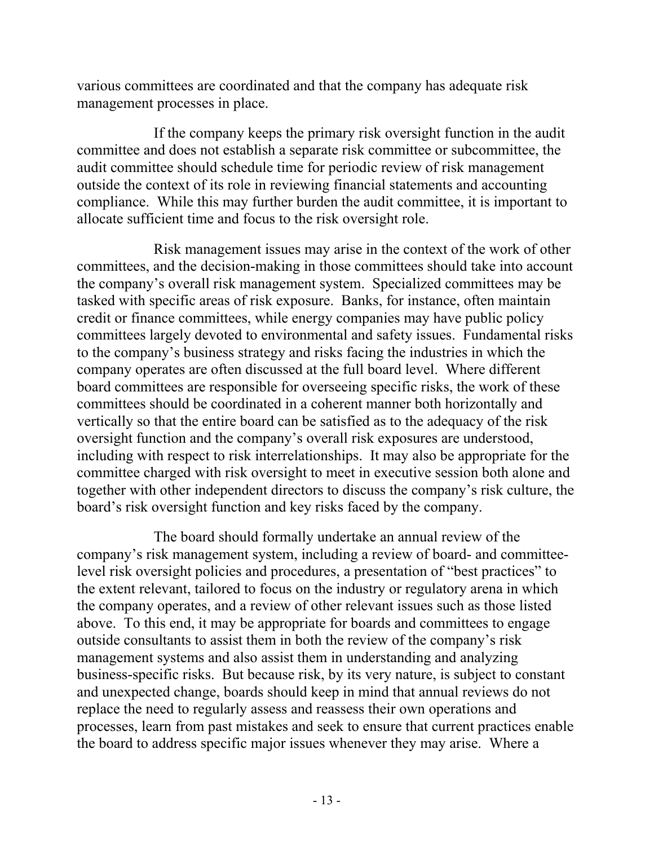various committees are coordinated and that the company has adequate risk management processes in place.

If the company keeps the primary risk oversight function in the audit committee and does not establish a separate risk committee or subcommittee, the audit committee should schedule time for periodic review of risk management outside the context of its role in reviewing financial statements and accounting compliance. While this may further burden the audit committee, it is important to allocate sufficient time and focus to the risk oversight role.

Risk management issues may arise in the context of the work of other committees, and the decision-making in those committees should take into account the company's overall risk management system. Specialized committees may be tasked with specific areas of risk exposure. Banks, for instance, often maintain credit or finance committees, while energy companies may have public policy committees largely devoted to environmental and safety issues. Fundamental risks to the company's business strategy and risks facing the industries in which the company operates are often discussed at the full board level. Where different board committees are responsible for overseeing specific risks, the work of these committees should be coordinated in a coherent manner both horizontally and vertically so that the entire board can be satisfied as to the adequacy of the risk oversight function and the company's overall risk exposures are understood, including with respect to risk interrelationships. It may also be appropriate for the committee charged with risk oversight to meet in executive session both alone and together with other independent directors to discuss the company's risk culture, the board's risk oversight function and key risks faced by the company.

The board should formally undertake an annual review of the company's risk management system, including a review of board- and committeelevel risk oversight policies and procedures, a presentation of "best practices" to the extent relevant, tailored to focus on the industry or regulatory arena in which the company operates, and a review of other relevant issues such as those listed above. To this end, it may be appropriate for boards and committees to engage outside consultants to assist them in both the review of the company's risk management systems and also assist them in understanding and analyzing business-specific risks. But because risk, by its very nature, is subject to constant and unexpected change, boards should keep in mind that annual reviews do not replace the need to regularly assess and reassess their own operations and processes, learn from past mistakes and seek to ensure that current practices enable the board to address specific major issues whenever they may arise. Where a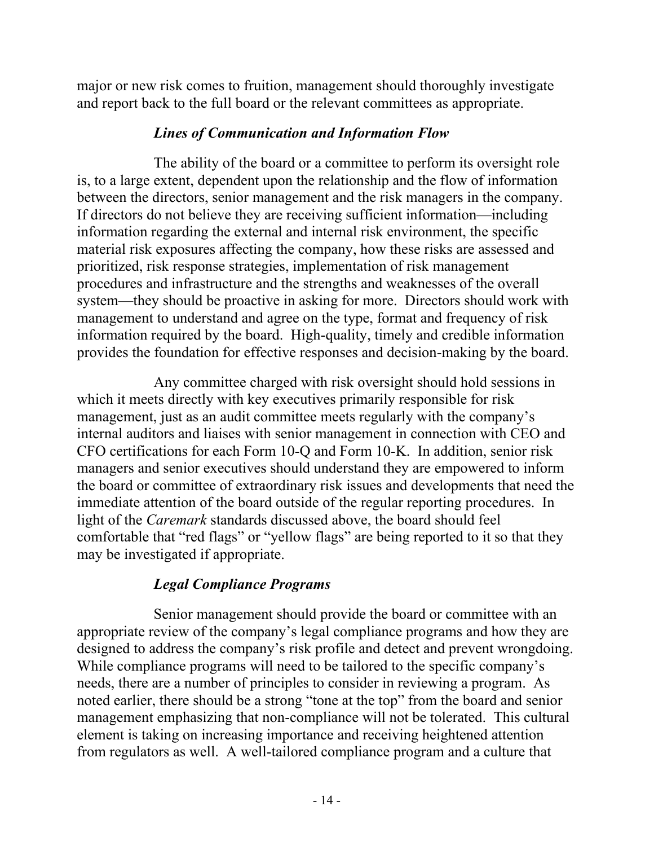major or new risk comes to fruition, management should thoroughly investigate and report back to the full board or the relevant committees as appropriate.

#### *Lines of Communication and Information Flow*

The ability of the board or a committee to perform its oversight role is, to a large extent, dependent upon the relationship and the flow of information between the directors, senior management and the risk managers in the company. If directors do not believe they are receiving sufficient information—including information regarding the external and internal risk environment, the specific material risk exposures affecting the company, how these risks are assessed and prioritized, risk response strategies, implementation of risk management procedures and infrastructure and the strengths and weaknesses of the overall system—they should be proactive in asking for more. Directors should work with management to understand and agree on the type, format and frequency of risk information required by the board. High-quality, timely and credible information provides the foundation for effective responses and decision-making by the board.

Any committee charged with risk oversight should hold sessions in which it meets directly with key executives primarily responsible for risk management, just as an audit committee meets regularly with the company's internal auditors and liaises with senior management in connection with CEO and CFO certifications for each Form 10-Q and Form 10-K. In addition, senior risk managers and senior executives should understand they are empowered to inform the board or committee of extraordinary risk issues and developments that need the immediate attention of the board outside of the regular reporting procedures. In light of the *Caremark* standards discussed above, the board should feel comfortable that "red flags" or "yellow flags" are being reported to it so that they may be investigated if appropriate.

# *Legal Compliance Programs*

Senior management should provide the board or committee with an appropriate review of the company's legal compliance programs and how they are designed to address the company's risk profile and detect and prevent wrongdoing. While compliance programs will need to be tailored to the specific company's needs, there are a number of principles to consider in reviewing a program. As noted earlier, there should be a strong "tone at the top" from the board and senior management emphasizing that non-compliance will not be tolerated. This cultural element is taking on increasing importance and receiving heightened attention from regulators as well. A well-tailored compliance program and a culture that